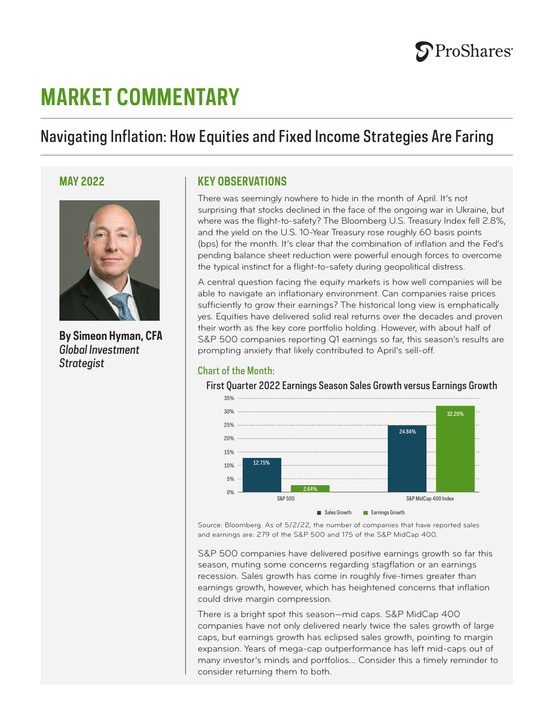

# **MARKET COMMENTARY**

# Navigating Inflation: How Equities and Fixed Income Strategies Are Faring



**By Simeon Hyman, CFA** *Global Investment Strategist*

# **MAY 2022 KEY OBSERVATIONS**

There was seemingly nowhere to hide in the month of April. It's not surprising that stocks declined in the face of the ongoing war in Ukraine, but where was the flight-to-safety? The Bloomberg U.S. Treasury Index fell 2.8%, and the yield on the U.S. 10-Year Treasury rose roughly 60 basis points (bps) for the month. It's clear that the combination of inflation and the Fed's pending balance sheet reduction were powerful enough forces to overcome the typical instinct for a flight-to-safety during geopolitical distress.

A central question facing the equity markets is how well companies will be able to navigate an inflationary environment. Can companies raise prices sufficiently to grow their earnings? The historical long view is emphatically yes. Equities have delivered solid real returns over the decades and proven their worth as the key core portfolio holding. However, with about half of S&P 500 companies reporting Q1 earnings so far, this season's results are prompting anxiety that likely contributed to April's sell-off.

# Chart of the Month:

First Quarter 2022 Earnings Season Sales Growth versus Earnings Growth



Source: Bloomberg. As of 5/2/22, the number of companies that have reported sales and earnings are: 279 of the S&P 500 and 175 of the S&P MidCap 400.

S&P 500 companies have delivered positive earnings growth so far this season, muting some concerns regarding stagflation or an earnings recession. Sales growth has come in roughly five-times greater than earnings growth, however, which has heightened concerns that inflation could drive margin compression.

There is a bright spot this season—mid caps. S&P MidCap 400 companies have not only delivered nearly twice the sales growth of large caps, but earnings growth has eclipsed sales growth, pointing to margin expansion. Years of mega-cap outperformance has left mid-caps out of many investor's minds and portfolios… Consider this a timely reminder to consider returning them to both.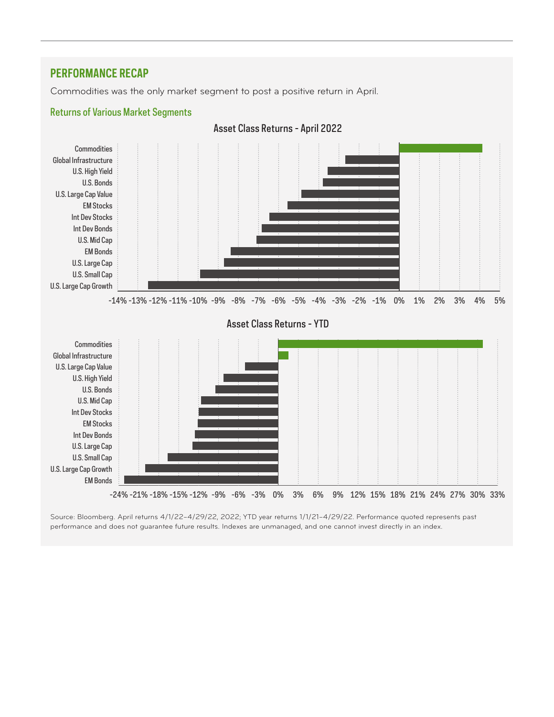# **PERFORMANCE RECAP**

Commodities was the only market segment to post a positive return in April.



Source: Bloomberg. April returns 4/1/22–4/29/22, 2022; YTD year returns 1/1/21–4/29/22. Performance quoted represents past performance and does not guarantee future results. Indexes are unmanaged, and one cannot invest directly in an index.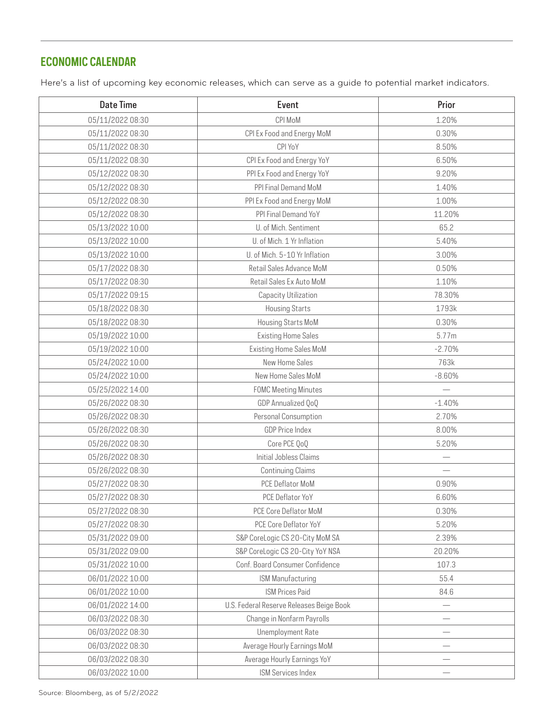# **ECONOMIC CALENDAR**

Here's a list of upcoming key economic releases, which can serve as a guide to potential market indicators.

| <b>Date Time</b> | Event                                    | Prior    |
|------------------|------------------------------------------|----------|
| 05/11/2022 08:30 | CPI MoM                                  | 1.20%    |
| 05/11/2022 08:30 | CPI Ex Food and Energy MoM               | 0.30%    |
| 05/11/2022 08:30 | CPI YoY                                  | 8.50%    |
| 05/11/2022 08:30 | CPI Ex Food and Energy YoY               | 6.50%    |
| 05/12/2022 08:30 | PPI Ex Food and Energy YoY               | 9.20%    |
| 05/12/2022 08:30 | PPI Final Demand MoM                     | 1.40%    |
| 05/12/2022 08:30 | PPI Ex Food and Energy MoM               | 1.00%    |
| 05/12/2022 08:30 | PPI Final Demand YoY                     | 11.20%   |
| 05/13/2022 10:00 | U. of Mich. Sentiment                    | 65.2     |
| 05/13/2022 10:00 | U. of Mich. 1 Yr Inflation               | 5.40%    |
| 05/13/2022 10:00 | U. of Mich. 5-10 Yr Inflation            | 3.00%    |
| 05/17/2022 08:30 | Retail Sales Advance MoM                 | 0.50%    |
| 05/17/2022 08:30 | Retail Sales Ex Auto MoM                 | 1.10%    |
| 05/17/2022 09:15 | Capacity Utilization                     | 78.30%   |
| 05/18/2022 08:30 | <b>Housing Starts</b>                    | 1793k    |
| 05/18/2022 08:30 | Housing Starts MoM                       | 0.30%    |
| 05/19/2022 10:00 | <b>Existing Home Sales</b>               | 5.77m    |
| 05/19/2022 10:00 | <b>Existing Home Sales MoM</b>           | $-2.70%$ |
| 05/24/2022 10:00 | New Home Sales                           | 763k     |
| 05/24/2022 10:00 | New Home Sales MoM                       | $-8.60%$ |
| 05/25/2022 14:00 | <b>FOMC Meeting Minutes</b>              |          |
| 05/26/2022 08:30 | GDP Annualized QoQ                       | $-1.40%$ |
| 05/26/2022 08:30 | Personal Consumption                     | 2.70%    |
| 05/26/2022 08:30 | <b>GDP Price Index</b>                   | 8.00%    |
| 05/26/2022 08:30 | Core PCE QoQ                             | 5.20%    |
| 05/26/2022 08:30 | Initial Jobless Claims                   |          |
| 05/26/2022 08:30 | <b>Continuing Claims</b>                 |          |
| 05/27/2022 08:30 | PCE Deflator MoM                         | 0.90%    |
| 05/27/2022 08:30 | PCE Deflator YoY                         | 6.60%    |
| 05/27/2022 08:30 | PCE Core Deflator MoM                    | 0.30%    |
| 05/27/2022 08:30 | PCE Core Deflator YoY                    | 5.20%    |
| 05/31/2022 09:00 | S&P CoreLogic CS 20-City MoM SA          | 2.39%    |
| 05/31/2022 09:00 | S&P CoreLogic CS 20-City YoY NSA         | 20.20%   |
| 05/31/2022 10:00 | Conf. Board Consumer Confidence          | 107.3    |
| 06/01/2022 10:00 | ISM Manufacturing                        | 55.4     |
| 06/01/2022 10:00 | <b>ISM Prices Paid</b>                   | 84.6     |
| 06/01/2022 14:00 | U.S. Federal Reserve Releases Beige Book |          |
| 06/03/2022 08:30 | Change in Nonfarm Payrolls               |          |
| 06/03/2022 08:30 | Unemployment Rate                        |          |
| 06/03/2022 08:30 | Average Hourly Earnings MoM              |          |
| 06/03/2022 08:30 | Average Hourly Earnings YoY              |          |
| 06/03/2022 10:00 | ISM Services Index                       |          |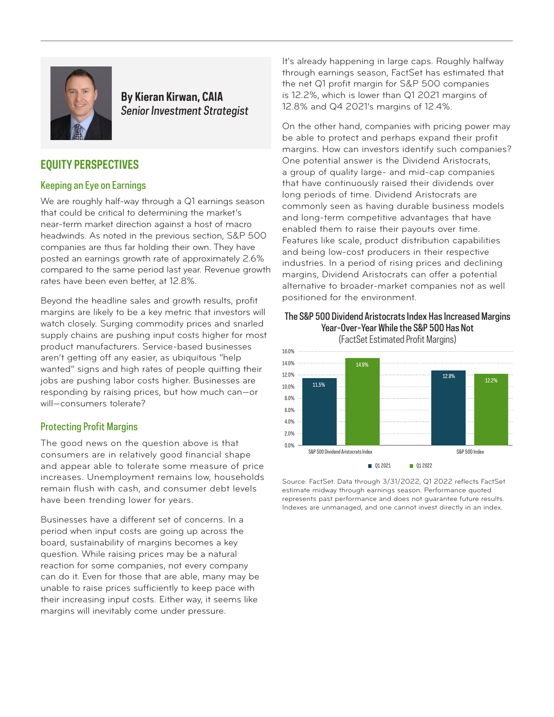

# **By Kieran Kirwan, CAIA** *Senior Investment Strategist*

# **EQUITY PERSPECTIVES**

# Keeping an Eye on Earnings

We are roughly half-way through a Q1 earnings season that could be critical to determining the market's near-term market direction against a host of macro headwinds. As noted in the previous section, S&P 500 companies are thus far holding their own. They have posted an earnings growth rate of approximately 2.6% compared to the same period last year. Revenue growth rates have been even better, at 12.8%.

Beyond the headline sales and growth results, profit margins are likely to be a key metric that investors will watch closely. Surging commodity prices and snarled supply chains are pushing input costs higher for most product manufacturers. Service-based businesses aren't getting off any easier, as ubiquitous "help wanted" signs and high rates of people quitting their jobs are pushing labor costs higher. Businesses are responding by raising prices, but how much can—or will—consumers tolerate?

# Protecting Profit Margins

The good news on the question above is that consumers are in relatively good financial shape and appear able to tolerate some measure of price increases. Unemployment remains low, households remain flush with cash, and consumer debt levels have been trending lower for years.

Businesses have a different set of concerns. In a period when input costs are going up across the board, sustainability of margins becomes a key question. While raising prices may be a natural reaction for some companies, not every company can do it. Even for those that are able, many may be unable to raise prices sufficiently to keep pace with their increasing input costs. Either way, it seems like margins will inevitably come under pressure.

It's already happening in large caps. Roughly halfway through earnings season, FactSet has estimated that the net Q1 profit margin for S&P 500 companies is 12.2%, which is lower than Q1 2021 margins of 12.8% and Q4 2021's margins of 12.4%.

On the other hand, companies with pricing power may be able to protect and perhaps expand their profit margins. How can investors identify such companies? One potential answer is the Dividend Aristocrats, a group of quality large- and mid-cap companies that have continuously raised their dividends over long periods of time. Dividend Aristocrats are commonly seen as having durable business models and long-term competitive advantages that have enabled them to raise their payouts over time. Features like scale, product distribution capabilities and being low-cost producers in their respective industries. In a period of rising prices and declining margins, Dividend Aristocrats can offer a potential alternative to broader-market companies not as well positioned for the environment.

#### The S&P 500 Dividend Aristocrats Index Has Increased Margins Year-Over-Year While the S&P 500 Has Not (FactSet Estimated Profit Margins)



Source: FactSet. Data through 3/31/2022, Q1 2022 reflects FactSet estimate midway through earnings season. Performance quoted represents past performance and does not guarantee future results. Indexes are unmanaged, and one cannot invest directly in an index.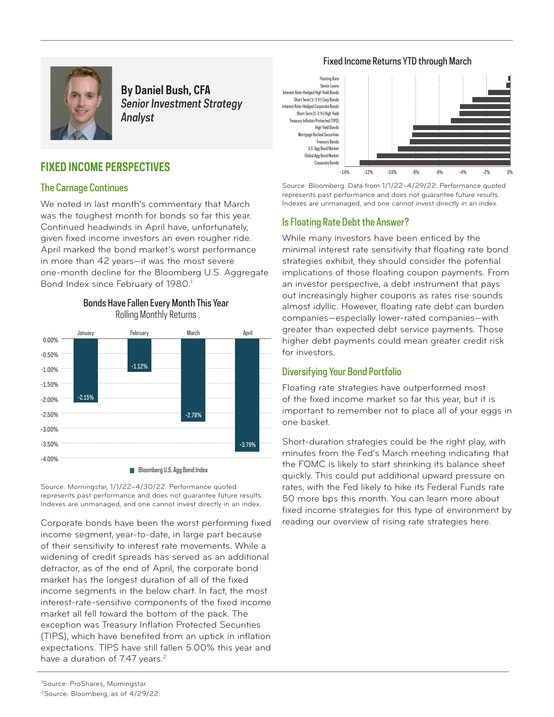#### Fixed Income Returns YTD through March



**By Daniel Bush, CFA** *Senior Investment Strategy Analyst*

# **FIXED INCOME PERSPECTIVES**

# The Carnage Continues

We noted in last month's commentary that March was the toughest month for bonds so far this year. Continued headwinds in April have, unfortunately, given fixed income investors an even rougher ride. April marked the bond market's worst performance in more than 42 years—it was the most severe one-month decline for the Bloomberg U.S. Aggregate Bond Index since February of 1980.<sup>1</sup>



Bonds Have Fallen Every Month This Year Rolling Monthly Returns

Source: Morningstar, 1/1/22–4/30/22. Performance quoted represents past performance and does not guarantee future results. Indexes are unmanaged, and one cannot invest directly in an index.

Corporate bonds have been the worst performing fixed income segment, year-to-date, in large part because of their sensitivity to interest rate movements. While a widening of credit spreads has served as an additional detractor, as of the end of April, the corporate bond market has the longest duration of all of the fixed income segments in the below chart. In fact, the most interest-rate-sensitive components of the fixed income market all fell toward the bottom of the pack. The exception was Treasury Inflation Protected Securities (TIPS), which have benefited from an uptick in inflation expectations. TIPS have still fallen 5.00% this year and have a duration of  $7.47$  years.<sup>2</sup>





Source: Bloomberg. Data from 1/1/22–4/29/22. Performance quoted represents past performance and does not guarantee future results. Indexes are unmanaged, and one cannot invest directly in an index.

# Is Floating Rate Debt the Answer?

While many investors have been enticed by the minimal interest rate sensitivity that floating rate bond strategies exhibit, they should consider the potential implications of those floating coupon payments. From an investor perspective, a debt instrument that pays out increasingly higher coupons as rates rise sounds almost idyllic. However, floating rate debt can burden companies—especially lower-rated companies—with greater than expected debt service payments. Those higher debt payments could mean greater credit risk for investors.

# Diversifying Your Bond Portfolio

Floating rate strategies have outperformed most of the fixed income market so far this year, but it is important to remember not to place all of your eggs in one basket.

Short-duration strategies could be the right play, with minutes from the Fed's March meeting indicating that the FOMC is likely to start shrinking its balance sheet quickly. This could put additional upward pressure on rates, with the Fed likely to hike its Federal Funds rate 50 more bps this month. You can learn more about fixed income strategies for this type of environment by reading our overview of rising rate strategies here.